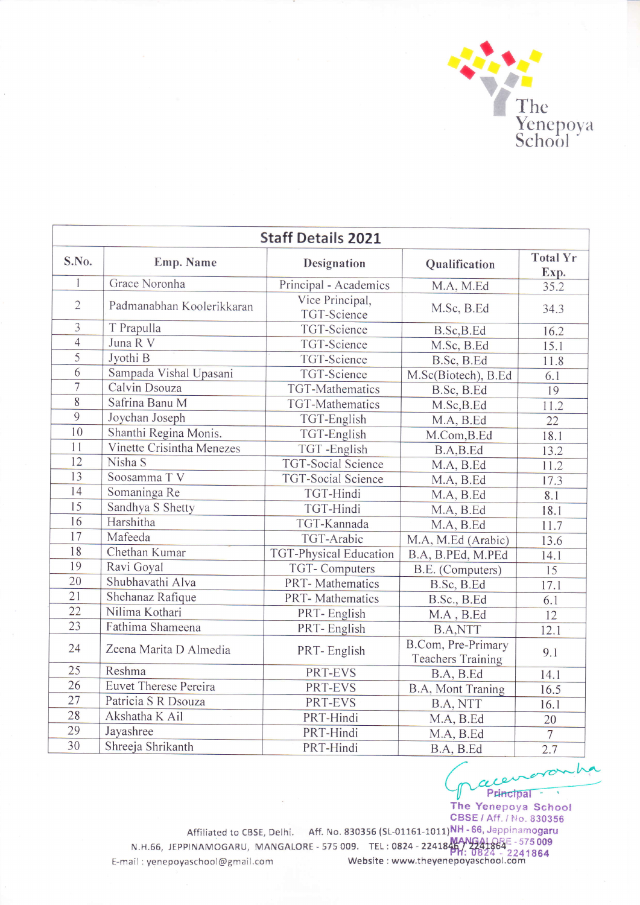

| <b>Staff Details 2021</b> |                              |                                |                                                |                         |  |  |  |
|---------------------------|------------------------------|--------------------------------|------------------------------------------------|-------------------------|--|--|--|
| S.No.                     | Emp. Name                    | Designation                    | Qualification                                  | <b>Total Yr</b><br>Exp. |  |  |  |
| $\mathbf{I}$              | Grace Noronha                | Principal - Academics          | M.A, M.Ed                                      | 35.2                    |  |  |  |
| $\overline{2}$            | Padmanabhan Koolerikkaran    | Vice Principal,<br>TGT-Science | M.Sc, B.Ed                                     | 34.3                    |  |  |  |
| 3                         | T Prapulla                   | TGT-Science                    | B.Sc, B.Ed                                     | 16.2                    |  |  |  |
| $\overline{4}$            | Juna R V                     | TGT-Science                    | M.Sc, B.Ed                                     | 15.1                    |  |  |  |
| $\overline{5}$            | Jyothi B                     | <b>TGT-Science</b>             | B.Sc, B.Ed                                     | 11.8                    |  |  |  |
| 6                         | Sampada Vishal Upasani       | <b>TGT-Science</b>             | M.Sc(Biotech), B.Ed                            | 6.1                     |  |  |  |
| 7                         | Calvin Dsouza                | <b>TGT-Mathematics</b>         | B.Sc, B.Ed                                     | 19                      |  |  |  |
| 8                         | Safrina Banu M               | TGT-Mathematics                | M.Sc, B.Ed                                     | 11.2                    |  |  |  |
| $\overline{9}$            | Joychan Joseph               | TGT-English                    | M.A, B.Ed                                      | $\overline{22}$         |  |  |  |
| 10                        | Shanthi Regina Monis.        | TGT-English                    | M.Com, B.Ed                                    | 18.1                    |  |  |  |
| 11                        | Vinette Crisintha Menezes    | TGT-English                    | B.A,B.Ed                                       | 13.2                    |  |  |  |
| 12                        | Nisha S                      | <b>TGT-Social Science</b>      | M.A, B.Ed                                      | 11.2                    |  |  |  |
| 13                        | Soosamma TV                  | <b>TGT-Social Science</b>      | M.A, B.Ed                                      | 17.3                    |  |  |  |
| 14                        | Somaninga Re                 | TGT-Hindi                      | M.A, B.Ed                                      | 8.1                     |  |  |  |
| 15                        | Sandhya S Shetty             | TGT-Hindi                      | M.A, B.Ed                                      | 18.1                    |  |  |  |
| 16                        | Harshitha                    | TGT-Kannada                    | M.A, B.Ed                                      | 11.7                    |  |  |  |
| 17                        | Mafeeda                      | TGT-Arabic                     | M.A, M.Ed (Arabic)                             | 13.6                    |  |  |  |
| 18                        | Chethan Kumar                | TGT-Physical Education         | B.A, B.PEd, M.PEd                              | 14.1                    |  |  |  |
| 19                        | Ravi Goyal                   | <b>TGT-Computers</b>           | B.E. (Computers)                               | $\overline{15}$         |  |  |  |
| 20                        | Shubhavathi Alva             | PRT-Mathematics                | B.Sc, B.Ed                                     | 17.1                    |  |  |  |
| 21                        | Shehanaz Rafique             | <b>PRT-Mathematics</b>         | B.Sc., B.Ed                                    | 6.1                     |  |  |  |
| 22                        | Nilima Kothari               | PRT-English                    | M.A, B.Ed                                      | 12                      |  |  |  |
| 23                        | Fathima Shameena             | PRT-English                    | <b>B.A,NTT</b>                                 | 12.1                    |  |  |  |
| 24                        | Zeena Marita D Almedia       | PRT-English                    | B.Com, Pre-Primary<br><b>Teachers Training</b> | 9.1                     |  |  |  |
| 25                        | Reshma                       | PRT-EVS                        | B.A, B.Ed                                      | 14.1                    |  |  |  |
| 26                        | <b>Euvet Therese Pereira</b> | PRT-EVS                        | B.A, Mont Traning                              | 16.5                    |  |  |  |
| 27                        | Patricia S R Dsouza          | PRT-EVS                        | B.A, NTT                                       | 16.1                    |  |  |  |
| 28                        | Akshatha K Ail               | PRT-Hindi                      | M.A, B.Ed                                      | 20                      |  |  |  |
| 29                        | Jayashree                    | PRT-Hindi                      | M.A, B.Ed                                      | $\overline{7}$          |  |  |  |
| 30                        | Shreeja Shrikanth            | PRT-Hindi                      | B.A, B.Ed                                      | 2.7                     |  |  |  |

 $A, B.Ed$  2.7 The Yenepoya School CBSE / Aff. / No. 830356

Affiliated to CBSE, Delhi. Aff. No. 830356 (SL-01161-1011)NH - 66, Jeppinamogaru N.H.66, JEPPINAMOGARU, MANGALORE - 575 009. TEL:0824 - 2241845/ 224384 t-mail : yenepoyaschool@gmail.com Website : www.theyenepoyaschool.com